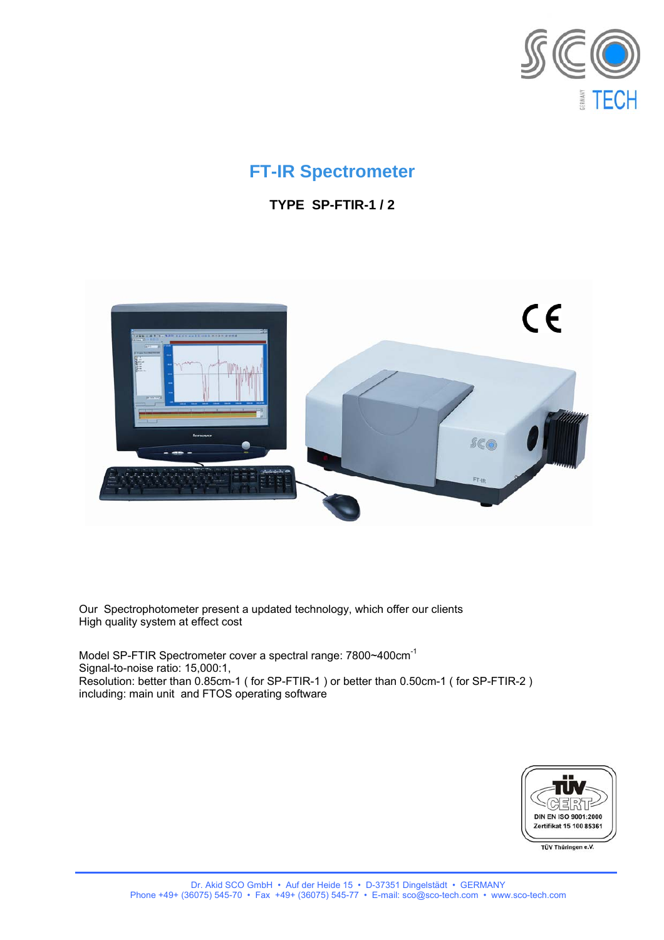

# **FT-IR Spectrometer**

**TYPE SP-FTIR-1 / 2** 



Our Spectrophotometer present a updated technology, which offer our clients High quality system at effect cost

Model SP-FTIR Spectrometer cover a spectral range: 7800~400cm-1 Signal-to-noise ratio: 15,000:1, Resolution: better than 0.85cm-1 ( for SP-FTIR-1 ) or better than 0.50cm-1 ( for SP-FTIR-2 ) including: main unit and FTOS operating software



TÜV Thüringen e.V.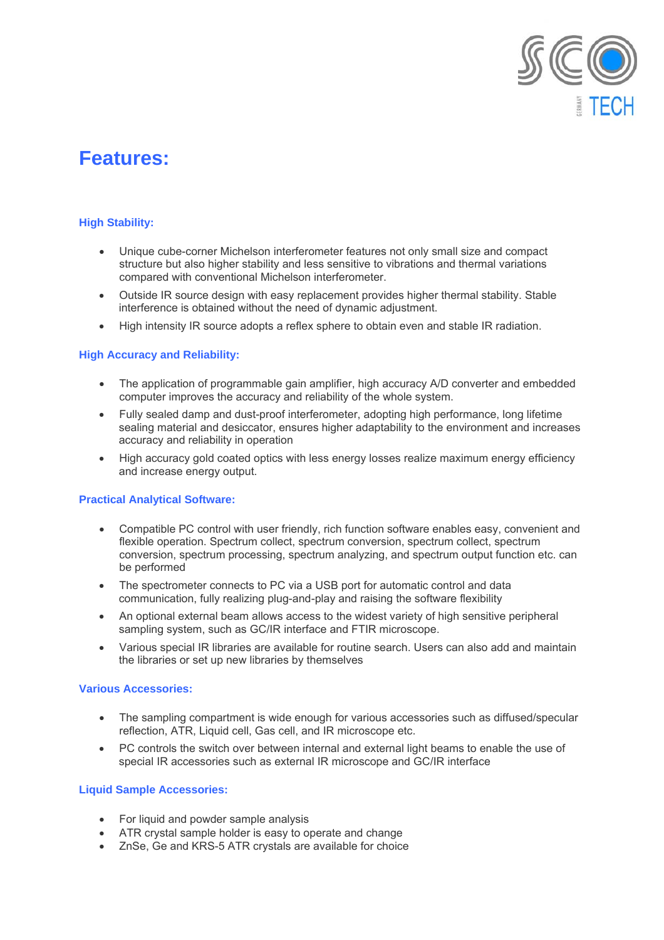

# **Features:**

# **High Stability:**

- Unique cube-corner Michelson interferometer features not only small size and compact structure but also higher stability and less sensitive to vibrations and thermal variations compared with conventional Michelson interferometer.
- Outside IR source design with easy replacement provides higher thermal stability. Stable interference is obtained without the need of dynamic adjustment.
- High intensity IR source adopts a reflex sphere to obtain even and stable IR radiation.

#### **High Accuracy and Reliability:**

- The application of programmable gain amplifier, high accuracy A/D converter and embedded computer improves the accuracy and reliability of the whole system.
- Fully sealed damp and dust-proof interferometer, adopting high performance, long lifetime sealing material and desiccator, ensures higher adaptability to the environment and increases accuracy and reliability in operation
- High accuracy gold coated optics with less energy losses realize maximum energy efficiency and increase energy output.

## **Practical Analytical Software:**

- Compatible PC control with user friendly, rich function software enables easy, convenient and flexible operation. Spectrum collect, spectrum conversion, spectrum collect, spectrum conversion, spectrum processing, spectrum analyzing, and spectrum output function etc. can be performed
- The spectrometer connects to PC via a USB port for automatic control and data communication, fully realizing plug-and-play and raising the software flexibility
- An optional external beam allows access to the widest variety of high sensitive peripheral sampling system, such as GC/IR interface and FTIR microscope.
- Various special IR libraries are available for routine search. Users can also add and maintain the libraries or set up new libraries by themselves

#### **Various Accessories:**

- The sampling compartment is wide enough for various accessories such as diffused/specular reflection, ATR, Liquid cell, Gas cell, and IR microscope etc.
- PC controls the switch over between internal and external light beams to enable the use of special IR accessories such as external IR microscope and GC/IR interface

## **Liquid Sample Accessories:**

- For liquid and powder sample analysis
- ATR crystal sample holder is easy to operate and change
- ZnSe, Ge and KRS-5 ATR crystals are available for choice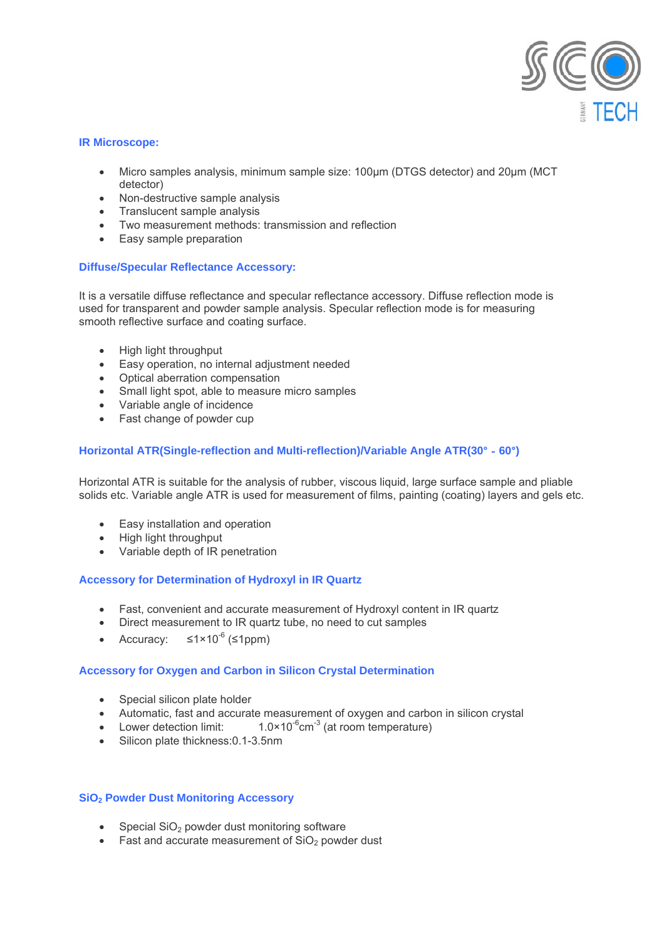

#### **IR Microscope:**

- Micro samples analysis, minimum sample size: 100µm (DTGS detector) and 20µm (MCT detector)
- Non-destructive sample analysis
- Translucent sample analysis
- Two measurement methods: transmission and reflection
- Easy sample preparation

## **Diffuse/Specular Reflectance Accessory:**

It is a versatile diffuse reflectance and specular reflectance accessory. Diffuse reflection mode is used for transparent and powder sample analysis. Specular reflection mode is for measuring smooth reflective surface and coating surface.

- High light throughput
- Easy operation, no internal adjustment needed
- Optical aberration compensation
- Small light spot, able to measure micro samples
- Variable angle of incidence
- Fast change of powder cup

#### **Horizontal ATR(Single-reflection and Multi-reflection)/Variable Angle ATR(30**°-**60**°**)**

Horizontal ATR is suitable for the analysis of rubber, viscous liquid, large surface sample and pliable solids etc. Variable angle ATR is used for measurement of films, painting (coating) layers and gels etc.

- Easy installation and operation
- High light throughput
- Variable depth of IR penetration

## **Accessory for Determination of Hydroxyl in IR Quartz**

- Fast, convenient and accurate measurement of Hydroxyl content in IR quartz
- Direct measurement to IR quartz tube, no need to cut samples
- Accuracy:  $\leq 1 \times 10^{-6}$  ( $\leq 1$ ppm)

## **Accessory for Oxygen and Carbon in Silicon Crystal Determination**

- Special silicon plate holder
- Automatic, fast and accurate measurement of oxygen and carbon in silicon crystal
- Lower detection limit:  $1.0 \times 10^{-6}$ cm<sup>-3</sup> (at room temperature)
- Silicon plate thickness: 0.1-3.5nm

#### **SiO2 Powder Dust Monitoring Accessory**

- Special  $SiO<sub>2</sub>$  powder dust monitoring software
- Fast and accurate measurement of  $SiO<sub>2</sub>$  powder dust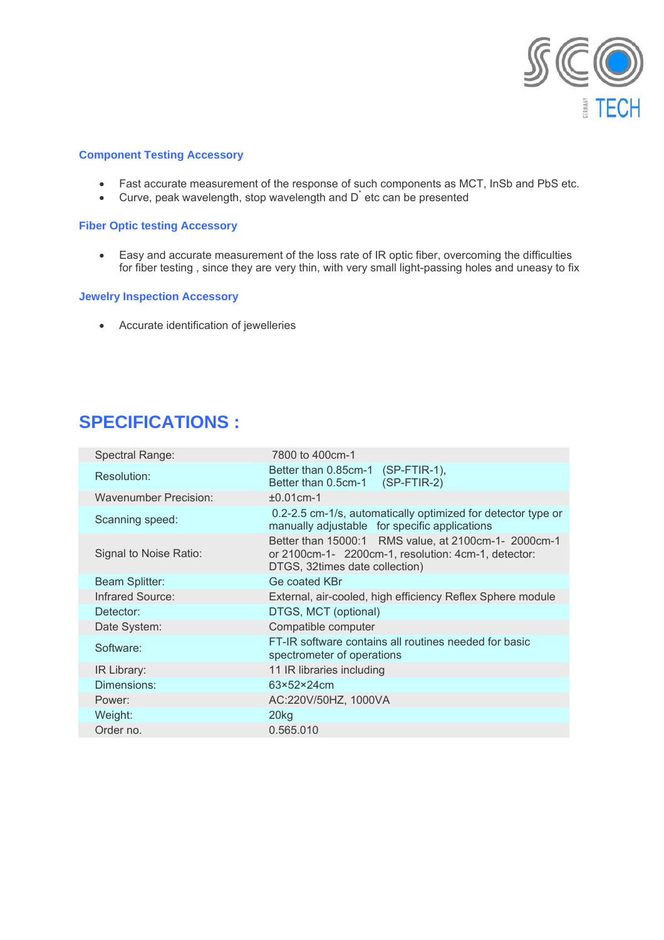

#### **Component Testing Accessory**

- Fast accurate measurement of the response of such components as MCT, InSb and PbS etc.
- $\bullet$  Curve, peak wavelength, stop wavelength and  $D^{\dagger}$  etc can be presented

# **Fiber Optic testing Accessory**

• Easy and accurate measurement of the loss rate of IR optic fiber, overcoming the difficulties for fiber testing , since they are very thin, with very small light-passing holes and uneasy to fix

#### **Jewelry Inspection Accessory**

• Accurate identification of jewelleries

# **SPECIFICATIONS :**

| Spectral Range:              | 7800 to 400cm-1                                                                                                                               |
|------------------------------|-----------------------------------------------------------------------------------------------------------------------------------------------|
| Resolution:                  | Better than 0.85cm-1<br>$(SP-FTIR-1)$ ,<br>$(SP-FTIR-2)$<br>Better than 0.5cm-1                                                               |
| <b>Wavenumber Precision:</b> | $±0.01$ cm $-1$                                                                                                                               |
| Scanning speed:              | 0.2-2.5 cm-1/s, automatically optimized for detector type or<br>manually adjustable for specific applications                                 |
| Signal to Noise Ratio:       | Better than 15000:1 RMS value, at 2100cm-1- 2000cm-1<br>or 2100cm-1- 2200cm-1, resolution: 4cm-1, detector:<br>DTGS, 32times date collection) |
| Beam Splitter:               | Ge coated KBr                                                                                                                                 |
| <b>Infrared Source:</b>      | External, air-cooled, high efficiency Reflex Sphere module                                                                                    |
| Detector:                    | DTGS, MCT (optional)                                                                                                                          |
| Date System:                 | Compatible computer                                                                                                                           |
| Software:                    | FT-IR software contains all routines needed for basic<br>spectrometer of operations                                                           |
| IR Library:                  | 11 IR libraries including                                                                                                                     |
| Dimensions:                  | 63×52×24cm                                                                                                                                    |
| Power:                       | AC:220V/50HZ, 1000VA                                                                                                                          |
| Weight:                      | 20 <sub>kg</sub>                                                                                                                              |
| Order no.                    | 0.565.010                                                                                                                                     |